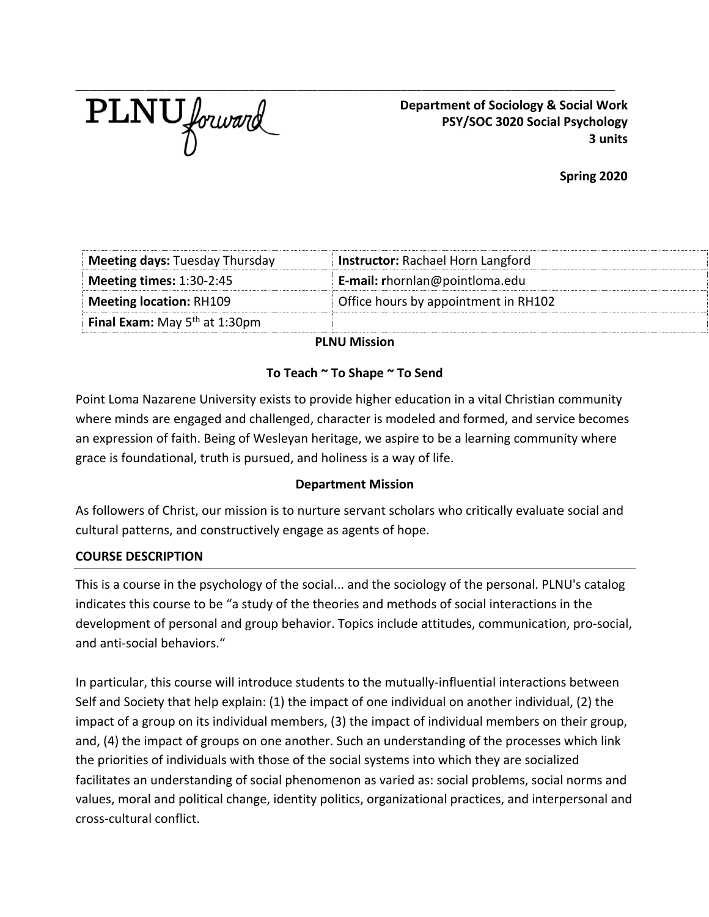

 **Department of Sociology & Social Work PSY/SOC 3020 Social Psychology 3 units**

**Spring 2020**

| Office hours by appointment in RH102     |
|------------------------------------------|
| E-mail: rhornlan@pointloma.edu           |
| <b>Instructor: Rachael Horn Langford</b> |
|                                          |

**PLNU Mission**

## **To Teach ~ To Shape ~ To Send**

Point Loma Nazarene University exists to provide higher education in a vital Christian community where minds are engaged and challenged, character is modeled and formed, and service becomes an expression of faith. Being of Wesleyan heritage, we aspire to be a learning community where grace is foundational, truth is pursued, and holiness is a way of life.

### **Department Mission**

As followers of Christ, our mission is to nurture servant scholars who critically evaluate social and cultural patterns, and constructively engage as agents of hope.

### **COURSE DESCRIPTION**

This is a course in the psychology of the social... and the sociology of the personal. PLNU's catalog indicates this course to be "a study of the theories and methods of social interactions in the development of personal and group behavior. Topics include attitudes, communication, pro-social, and anti-social behaviors."

In particular, this course will introduce students to the mutually-influential interactions between Self and Society that help explain: (1) the impact of one individual on another individual, (2) the impact of a group on its individual members, (3) the impact of individual members on their group, and, (4) the impact of groups on one another. Such an understanding of the processes which link the priorities of individuals with those of the social systems into which they are socialized facilitates an understanding of social phenomenon as varied as: social problems, social norms and values, moral and political change, identity politics, organizational practices, and interpersonal and cross-cultural conflict.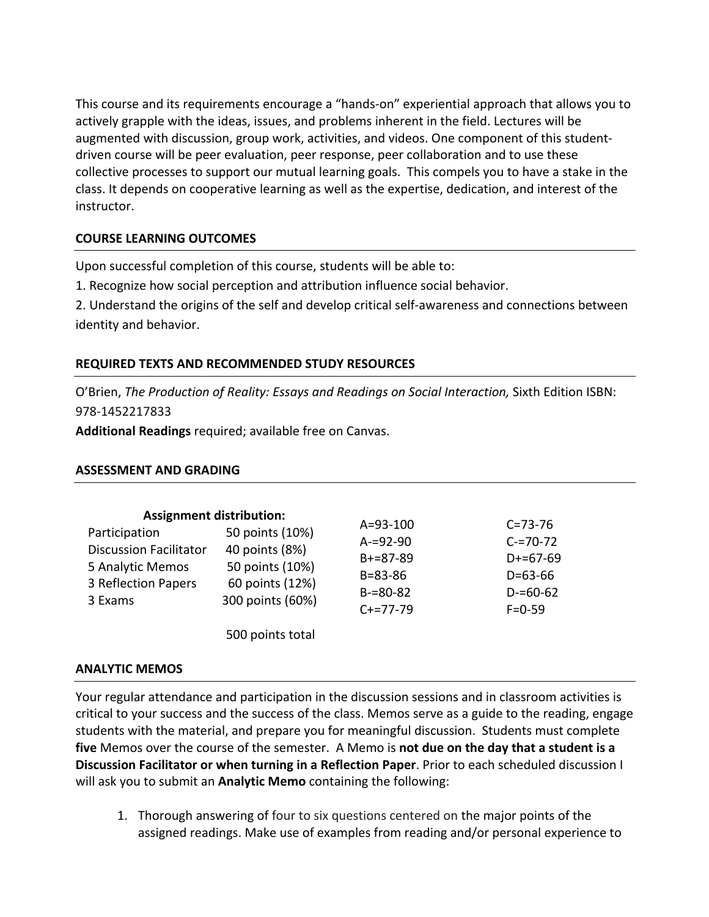This course and its requirements encourage a "hands-on" experiential approach that allows you to actively grapple with the ideas, issues, and problems inherent in the field. Lectures will be augmented with discussion, group work, activities, and videos. One component of this studentdriven course will be peer evaluation, peer response, peer collaboration and to use these collective processes to support our mutual learning goals. This compels you to have a stake in the class. It depends on cooperative learning as well as the expertise, dedication, and interest of the instructor.

## **COURSE LEARNING OUTCOMES**

Upon successful completion of this course, students will be able to:

1. Recognize how social perception and attribution influence social behavior.

2. Understand the origins of the self and develop critical self-awareness and connections between identity and behavior.

## **REQUIRED TEXTS AND RECOMMENDED STUDY RESOURCES**

O'Brien, *The Production of Reality: Essays and Readings on Social Interaction, Sixth Edition ISBN*: 978-1452217833

**Additional Readings** required; available free on Canvas.

### **ASSESSMENT AND GRADING**

| Participation<br><b>Discussion Facilitator</b><br>5 Analytic Memos<br>3 Reflection Papers<br>3 Exams | <b>Assignment distribution:</b><br>50 points (10%)<br>40 points (8%)<br>50 points (10%)<br>60 points (12%)<br>300 points (60%) | $A = 93 - 100$<br>$A = 92 - 90$<br>$B+=87-89$<br>$B = 83 - 86$<br>$B = 80 - 82$<br>$C+=77-79$ | $C = 73 - 76$<br>$C = 70 - 72$<br>$D+=67-69$<br>$D = 63 - 66$<br>$D = 60 - 62$<br>$F = 0 - 59$ |
|------------------------------------------------------------------------------------------------------|--------------------------------------------------------------------------------------------------------------------------------|-----------------------------------------------------------------------------------------------|------------------------------------------------------------------------------------------------|
|                                                                                                      | 500 points total                                                                                                               |                                                                                               |                                                                                                |

### **ANALYTIC MEMOS**

Your regular attendance and participation in the discussion sessions and in classroom activities is critical to your success and the success of the class. Memos serve as a guide to the reading, engage students with the material, and prepare you for meaningful discussion. Students must complete **five** Memos over the course of the semester. A Memo is **not due on the day that a student is a Discussion Facilitator or when turning in a Reflection Paper**. Prior to each scheduled discussion I will ask you to submit an **Analytic Memo** containing the following:

1. Thorough answering of four to six questions centered on the major points of the assigned readings. Make use of examples from reading and/or personal experience to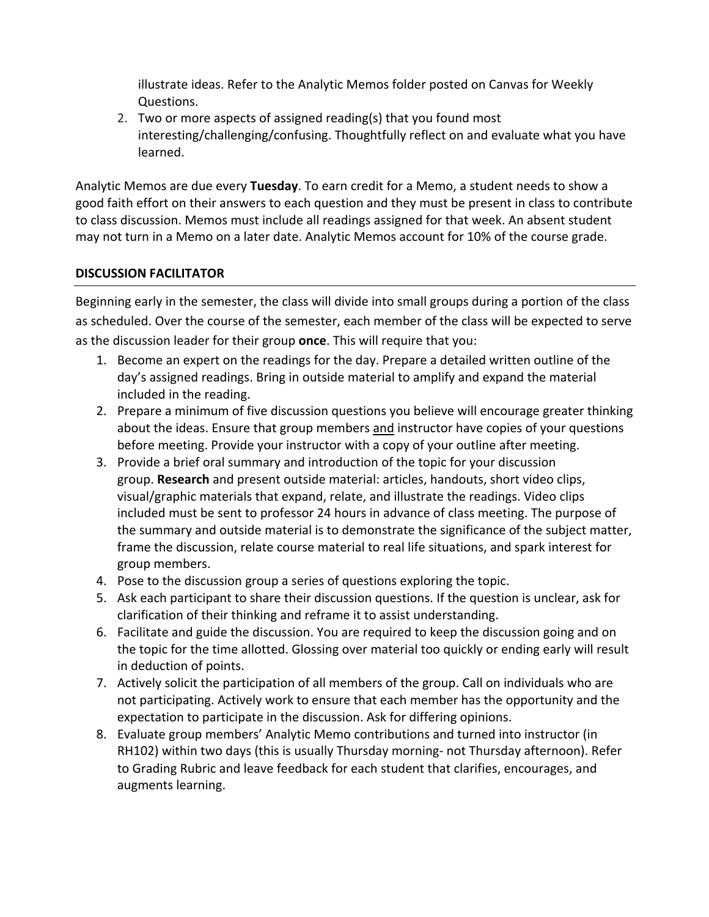illustrate ideas. Refer to the Analytic Memos folder posted on Canvas for Weekly Questions.

2. Two or more aspects of assigned reading(s) that you found most interesting/challenging/confusing. Thoughtfully reflect on and evaluate what you have learned.

Analytic Memos are due every **Tuesday**. To earn credit for a Memo, a student needs to show a good faith effort on their answers to each question and they must be present in class to contribute to class discussion. Memos must include all readings assigned for that week. An absent student may not turn in a Memo on a later date. Analytic Memos account for 10% of the course grade.

# **DISCUSSION FACILITATOR**

Beginning early in the semester, the class will divide into small groups during a portion of the class as scheduled. Over the course of the semester, each member of the class will be expected to serve as the discussion leader for their group **once**. This will require that you:

- 1. Become an expert on the readings for the day. Prepare a detailed written outline of the day's assigned readings. Bring in outside material to amplify and expand the material included in the reading.
- 2. Prepare a minimum of five discussion questions you believe will encourage greater thinking about the ideas. Ensure that group members and instructor have copies of your questions before meeting. Provide your instructor with a copy of your outline after meeting.
- 3. Provide a brief oral summary and introduction of the topic for your discussion group. **Research** and present outside material: articles, handouts, short video clips, visual/graphic materials that expand, relate, and illustrate the readings. Video clips included must be sent to professor 24 hours in advance of class meeting. The purpose of the summary and outside material is to demonstrate the significance of the subject matter, frame the discussion, relate course material to real life situations, and spark interest for group members.
- 4. Pose to the discussion group a series of questions exploring the topic.
- 5. Ask each participant to share their discussion questions. If the question is unclear, ask for clarification of their thinking and reframe it to assist understanding.
- 6. Facilitate and guide the discussion. You are required to keep the discussion going and on the topic for the time allotted. Glossing over material too quickly or ending early will result in deduction of points.
- 7. Actively solicit the participation of all members of the group. Call on individuals who are not participating. Actively work to ensure that each member has the opportunity and the expectation to participate in the discussion. Ask for differing opinions.
- 8. Evaluate group members' Analytic Memo contributions and turned into instructor (in RH102) within two days (this is usually Thursday morning- not Thursday afternoon). Refer to Grading Rubric and leave feedback for each student that clarifies, encourages, and augments learning.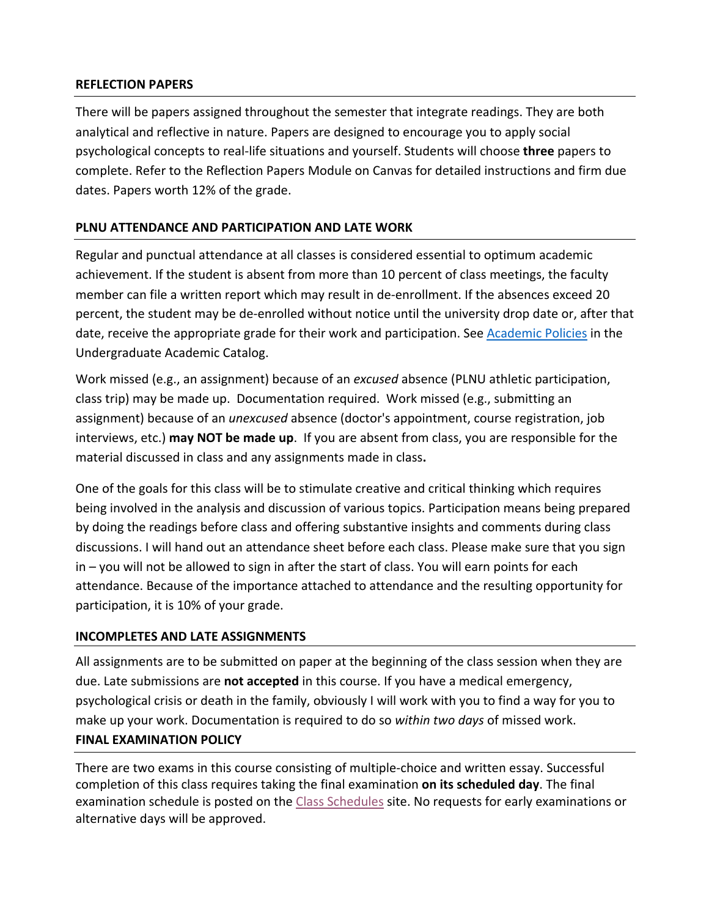### **REFLECTION PAPERS**

There will be papers assigned throughout the semester that integrate readings. They are both analytical and reflective in nature. Papers are designed to encourage you to apply social psychological concepts to real-life situations and yourself. Students will choose **three** papers to complete. Refer to the Reflection Papers Module on Canvas for detailed instructions and firm due dates. Papers worth 12% of the grade.

### **PLNU ATTENDANCE AND PARTICIPATION AND LATE WORK**

Regular and punctual attendance at all classes is considered essential to optimum academic achievement. If the student is absent from more than 10 percent of class meetings, the faculty member can file a written report which may result in de-enrollment. If the absences exceed 20 percent, the student may be de-enrolled without notice until the university drop date or, after that date, receive the appropriate grade for their work and participation. See Academic Policies in the Undergraduate Academic Catalog.

Work missed (e.g., an assignment) because of an *excused* absence (PLNU athletic participation, class trip) may be made up. Documentation required. Work missed (e.g., submitting an assignment) because of an *unexcused* absence (doctor's appointment, course registration, job interviews, etc.) **may NOT be made up**.If you are absent from class, you are responsible for the material discussed in class and any assignments made in class**.**

One of the goals for this class will be to stimulate creative and critical thinking which requires being involved in the analysis and discussion of various topics. Participation means being prepared by doing the readings before class and offering substantive insights and comments during class discussions. I will hand out an attendance sheet before each class. Please make sure that you sign in – you will not be allowed to sign in after the start of class. You will earn points for each attendance. Because of the importance attached to attendance and the resulting opportunity for participation, it is 10% of your grade.

### **INCOMPLETES AND LATE ASSIGNMENTS**

All assignments are to be submitted on paper at the beginning of the class session when they are due. Late submissions are **not accepted** in this course. If you have a medical emergency, psychological crisis or death in the family, obviously I will work with you to find a way for you to make up your work. Documentation is required to do so *within two days* of missed work. **FINAL EXAMINATION POLICY**

There are two exams in this course consisting of multiple-choice and written essay. Successful completion of this class requires taking the final examination **on its scheduled day**. The final examination schedule is posted on the Class Schedules site. No requests for early examinations or alternative days will be approved.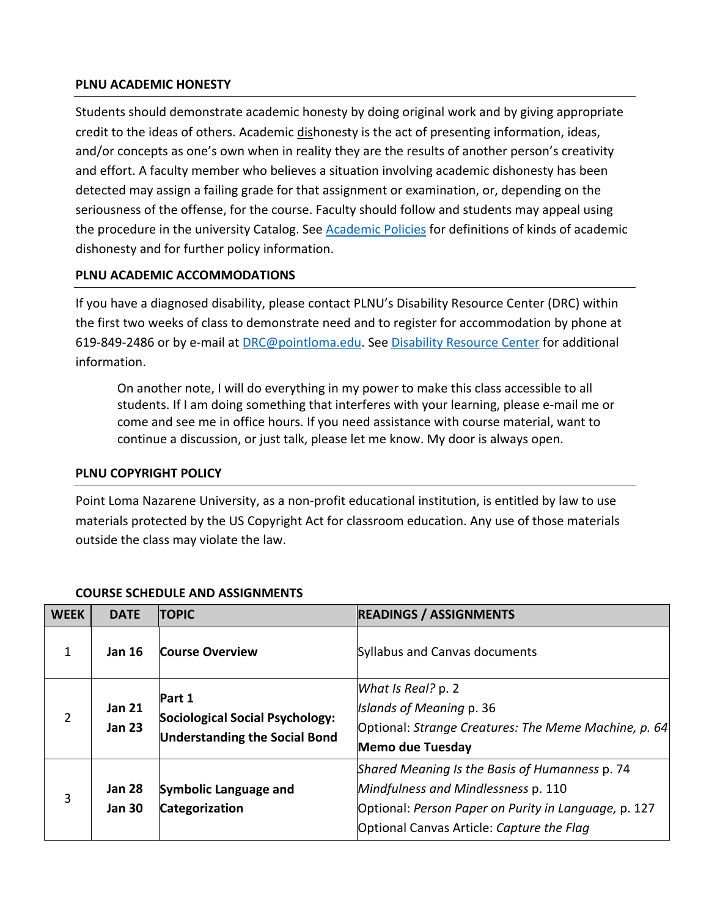#### **PLNU ACADEMIC HONESTY**

Students should demonstrate academic honesty by doing original work and by giving appropriate credit to the ideas of others. Academic dishonesty is the act of presenting information, ideas, and/or concepts as one's own when in reality they are the results of another person's creativity and effort. A faculty member who believes a situation involving academic dishonesty has been detected may assign a failing grade for that assignment or examination, or, depending on the seriousness of the offense, for the course. Faculty should follow and students may appeal using the procedure in the university Catalog. See Academic Policies for definitions of kinds of academic dishonesty and for further policy information.

### **PLNU ACADEMIC ACCOMMODATIONS**

If you have a diagnosed disability, please contact PLNU's Disability Resource Center (DRC) within the first two weeks of class to demonstrate need and to register for accommodation by phone at 619-849-2486 or by e-mail at DRC@pointloma.edu. See Disability Resource Center for additional information.

On another note, I will do everything in my power to make this class accessible to all students. If I am doing something that interferes with your learning, please e-mail me or come and see me in office hours. If you need assistance with course material, want to continue a discussion, or just talk, please let me know. My door is always open.

#### **PLNU COPYRIGHT POLICY**

Point Loma Nazarene University, as a non-profit educational institution, is entitled by law to use materials protected by the US Copyright Act for classroom education. Any use of those materials outside the class may violate the law.

| <b>WEEK</b>    | <b>DATE</b>                    | <b>TOPIC</b>                                                                             | <b>READINGS / ASSIGNMENTS</b>                                                                                                                                                              |
|----------------|--------------------------------|------------------------------------------------------------------------------------------|--------------------------------------------------------------------------------------------------------------------------------------------------------------------------------------------|
| $\mathbf{1}$   | <b>Jan 16</b>                  | <b>Course Overview</b>                                                                   | Syllabus and Canvas documents                                                                                                                                                              |
| $\overline{2}$ | <b>Jan 21</b><br><b>Jan 23</b> | <b>Part 1</b><br>Sociological Social Psychology:<br><b>Understanding the Social Bond</b> | What Is Real? p. 2<br>Islands of Meaning p. 36<br>Optional: Strange Creatures: The Meme Machine, p. 64<br>Memo due Tuesday                                                                 |
| 3              | <b>Jan 28</b><br><b>Jan 30</b> | Symbolic Language and<br>Categorization                                                  | Shared Meaning Is the Basis of Humanness p. 74<br>Mindfulness and Mindlessness p. 110<br>Optional: Person Paper on Purity in Language, p. 127<br>Optional Canvas Article: Capture the Flag |

### **COURSE SCHEDULE AND ASSIGNMENTS**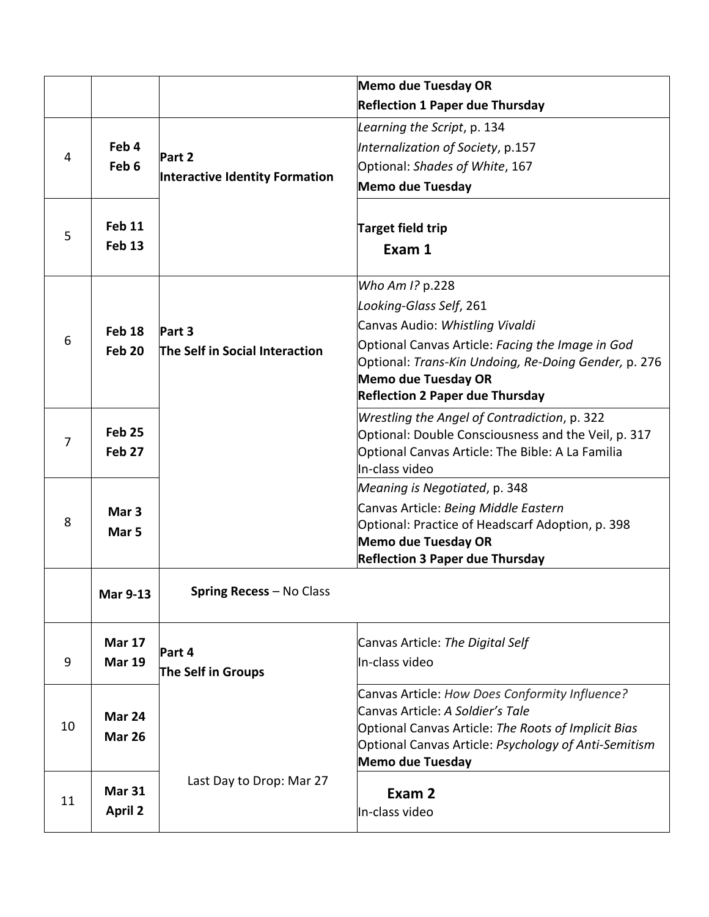| <b>Reflection 1 Paper due Thursday</b><br>Learning the Script, p. 134<br>Feb 4<br>Internalization of Society, p.157<br>Part 2<br>4<br>Feb <sub>6</sub><br>Optional: Shades of White, 167<br>Interactive Identity Formation<br><b>Memo due Tuesday</b><br>Feb <sub>11</sub><br><b>Target field trip</b><br>5<br><b>Feb 13</b><br>Exam 1 |  |  | <b>Memo due Tuesday OR</b>                           |
|----------------------------------------------------------------------------------------------------------------------------------------------------------------------------------------------------------------------------------------------------------------------------------------------------------------------------------------|--|--|------------------------------------------------------|
|                                                                                                                                                                                                                                                                                                                                        |  |  |                                                      |
|                                                                                                                                                                                                                                                                                                                                        |  |  |                                                      |
|                                                                                                                                                                                                                                                                                                                                        |  |  |                                                      |
|                                                                                                                                                                                                                                                                                                                                        |  |  |                                                      |
|                                                                                                                                                                                                                                                                                                                                        |  |  |                                                      |
|                                                                                                                                                                                                                                                                                                                                        |  |  |                                                      |
|                                                                                                                                                                                                                                                                                                                                        |  |  |                                                      |
|                                                                                                                                                                                                                                                                                                                                        |  |  |                                                      |
|                                                                                                                                                                                                                                                                                                                                        |  |  |                                                      |
|                                                                                                                                                                                                                                                                                                                                        |  |  | Who Am I? p.228                                      |
| Looking-Glass Self, 261                                                                                                                                                                                                                                                                                                                |  |  |                                                      |
| Canvas Audio: Whistling Vivaldi<br>Feb <sub>18</sub><br>Part 3                                                                                                                                                                                                                                                                         |  |  |                                                      |
| 6<br>Optional Canvas Article: Facing the Image in God<br>The Self in Social Interaction<br><b>Feb 20</b>                                                                                                                                                                                                                               |  |  |                                                      |
|                                                                                                                                                                                                                                                                                                                                        |  |  | Optional: Trans-Kin Undoing, Re-Doing Gender, p. 276 |
| <b>Memo due Tuesday OR</b><br><b>Reflection 2 Paper due Thursday</b>                                                                                                                                                                                                                                                                   |  |  |                                                      |
| Wrestling the Angel of Contradiction, p. 322                                                                                                                                                                                                                                                                                           |  |  |                                                      |
| <b>Feb 25</b><br>Optional: Double Consciousness and the Veil, p. 317                                                                                                                                                                                                                                                                   |  |  |                                                      |
| 7<br>Feb <sub>27</sub><br>Optional Canvas Article: The Bible: A La Familia                                                                                                                                                                                                                                                             |  |  |                                                      |
| In-class video                                                                                                                                                                                                                                                                                                                         |  |  |                                                      |
| Meaning is Negotiated, p. 348                                                                                                                                                                                                                                                                                                          |  |  |                                                      |
| Canvas Article: Being Middle Eastern<br>Mar <sub>3</sub>                                                                                                                                                                                                                                                                               |  |  |                                                      |
| 8<br>Optional: Practice of Headscarf Adoption, p. 398<br>Mar <sub>5</sub>                                                                                                                                                                                                                                                              |  |  |                                                      |
| <b>Memo due Tuesday OR</b><br><b>Reflection 3 Paper due Thursday</b>                                                                                                                                                                                                                                                                   |  |  |                                                      |
|                                                                                                                                                                                                                                                                                                                                        |  |  |                                                      |
| <b>Spring Recess - No Class</b><br><b>Mar 9-13</b>                                                                                                                                                                                                                                                                                     |  |  |                                                      |
|                                                                                                                                                                                                                                                                                                                                        |  |  |                                                      |
| <b>Mar 17</b><br>Canvas Article: The Digital Self                                                                                                                                                                                                                                                                                      |  |  |                                                      |
| Part 4<br>In-class video<br>9<br><b>Mar 19</b>                                                                                                                                                                                                                                                                                         |  |  |                                                      |
| The Self in Groups                                                                                                                                                                                                                                                                                                                     |  |  |                                                      |
| Canvas Article: How Does Conformity Influence?                                                                                                                                                                                                                                                                                         |  |  |                                                      |
| Canvas Article: A Soldier's Tale<br>Mar 24                                                                                                                                                                                                                                                                                             |  |  |                                                      |
| 10<br>Optional Canvas Article: The Roots of Implicit Bias<br><b>Mar 26</b>                                                                                                                                                                                                                                                             |  |  |                                                      |
| Optional Canvas Article: Psychology of Anti-Semitism<br><b>Memo due Tuesday</b>                                                                                                                                                                                                                                                        |  |  |                                                      |
| Last Day to Drop: Mar 27                                                                                                                                                                                                                                                                                                               |  |  |                                                      |
| <b>Mar 31</b><br>Exam 2<br>11                                                                                                                                                                                                                                                                                                          |  |  |                                                      |
| <b>April 2</b><br>In-class video                                                                                                                                                                                                                                                                                                       |  |  |                                                      |